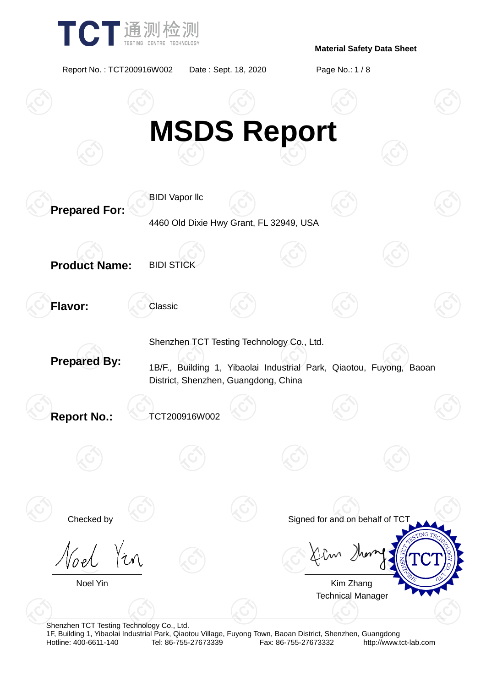

Report No. : TCT200916W002 Date : Sept. 18, 2020 Page No.: 1 / 8



Shenzhen TCT Testing Technology Co., Ltd.

1F, Building 1, Yibaolai Industrial Park, Qiaotou Village, Fuyong Town, Baoan District, Shenzhen, Guangdong Fax: 86-755-27673332 http://www.tct-lab.com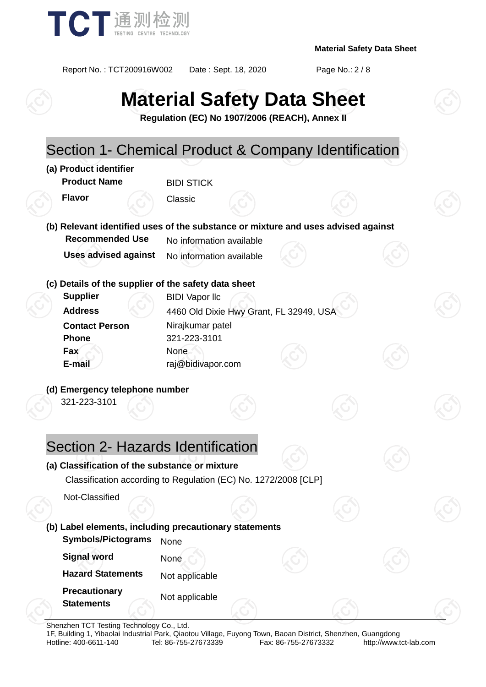

Report No. : TCT200916W002 Date : Sept. 18, 2020 Page No.: 2 / 8

# **Material Safety Data Sheet**

**Regulation (EC) No 1907/2006 (REACH), Annex II**



Shenzhen TCT Testing Technology Co., Ltd.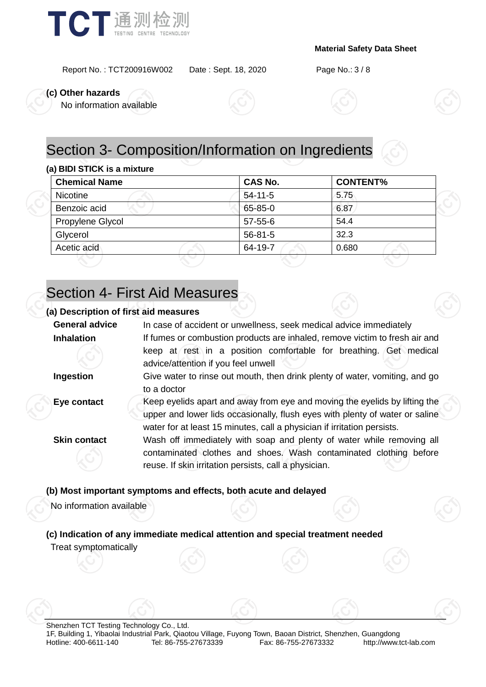

Report No. : TCT200916W002 Date : Sept. 18, 2020 Page No.: 3 / 8

**(c) Other hazards**

No information available





# Section 3- Composition/Information on Ingredients

#### **(a) BIDI STICK is a mixture**

| <b>Chemical Name</b> | <b>CAS No.</b> | <b>CONTENT%</b> |  |
|----------------------|----------------|-----------------|--|
| <b>Nicotine</b>      | $54 - 11 - 5$  | 5.75            |  |
| Benzoic acid         | 65-85-0        | 6.87            |  |
| Propylene Glycol     | 57-55-6        | 54.4            |  |
| Glycerol             | $56 - 81 - 5$  | 32.3            |  |
| Acetic acid          | 64-19-7        | 0.680           |  |

## Section 4- First Aid Measures

#### **(a) Description of first aid measures**

| <b>General advice</b>    | In case of accident or unwellness, seek medical advice immediately                                                                                                                                                                    |  |  |  |  |  |  |
|--------------------------|---------------------------------------------------------------------------------------------------------------------------------------------------------------------------------------------------------------------------------------|--|--|--|--|--|--|
| <b>Inhalation</b>        | If fumes or combustion products are inhaled, remove victim to fresh air and                                                                                                                                                           |  |  |  |  |  |  |
|                          | keep at rest in a position comfortable for breathing. Get medical<br>advice/attention if you feel unwell                                                                                                                              |  |  |  |  |  |  |
| Ingestion                | Give water to rinse out mouth, then drink plenty of water, vomiting, and go<br>to a doctor                                                                                                                                            |  |  |  |  |  |  |
| Eye contact              | Keep eyelids apart and away from eye and moving the eyelids by lifting the<br>upper and lower lids occasionally, flush eyes with plenty of water or saline<br>water for at least 15 minutes, call a physician if irritation persists. |  |  |  |  |  |  |
| <b>Skin contact</b>      | Wash off immediately with soap and plenty of water while removing all<br>contaminated clothes and shoes. Wash contaminated clothing before<br>reuse. If skin irritation persists, call a physician.                                   |  |  |  |  |  |  |
|                          | (b) Most important symptoms and effects, both acute and delayed                                                                                                                                                                       |  |  |  |  |  |  |
| No information available |                                                                                                                                                                                                                                       |  |  |  |  |  |  |
|                          | (c) Indication of any immediate medical attention and special treatment needed                                                                                                                                                        |  |  |  |  |  |  |
| Treat symptomatically    |                                                                                                                                                                                                                                       |  |  |  |  |  |  |



Shenzhen TCT Testing Technology Co., Ltd. 1F, Building 1, Yibaolai Industrial Park, Qiaotou Village, Fuyong Town, Baoan District, Shenzhen, Guangdong Fax: 86-755-27673332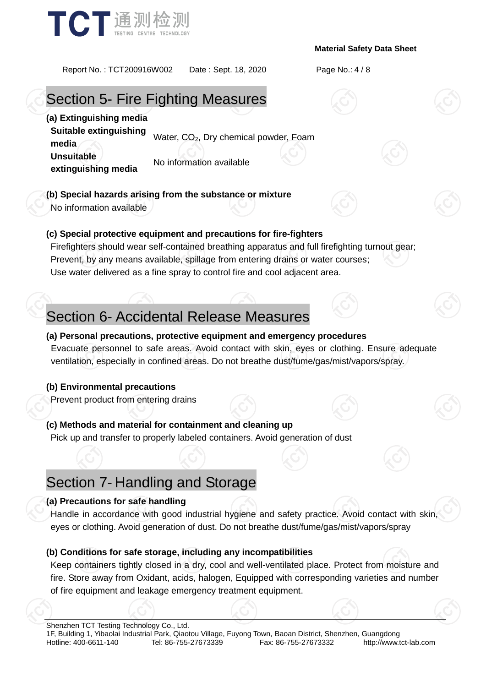

Report No. : TCT200916W002 Date : Sept. 18, 2020 Page No.: 4 / 8

## Section 5- Fire Fighting Measures

**(a) Extinguishing media**

**Suitable extinguishing bundale examgersing** Water, CO<sub>2</sub>, Dry chemical powder, Foam

**Unsuitable extinguishing media** No information available

**(b) Special hazards arising from the substance or mixture**

No information available

#### **(c) Special protective equipment and precautions for fire-fighters**

Firefighters should wear self-contained breathing apparatus and full firefighting turnout gear; Prevent, by any means available, spillage from entering drains or water courses; Use water delivered as a fine spray to control fire and cool adjacent area.

# Section 6- Accidental Release Measures

#### **(a) Personal precautions, protective equipment and emergency procedures**

Evacuate personnel to safe areas. Avoid contact with skin, eyes or clothing. Ensure adequate ventilation, especially in confined areas. Do not breathe dust/fume/gas/mist/vapors/spray.

#### **(b) Environmental precautions**

Prevent product from entering drains

**(c) Methods and material for containment and cleaning up** Pick up and transfer to properly labeled containers. Avoid generation of dust

### Section 7- Handling and Storage

#### **(a) Precautions for safe handling**

Handle in accordance with good industrial hygiene and safety practice. Avoid contact with skin, eyes or clothing. Avoid generation of dust. Do not breathe dust/fume/gas/mist/vapors/spray

#### **(b) Conditions for safe storage, including any incompatibilities**

Keep containers tightly closed in a dry, cool and well-ventilated place. Protect from moisture and fire. Store away from Oxidant, acids, halogen, Equipped with corresponding varieties and number of fire equipment and leakage emergency treatment equipment.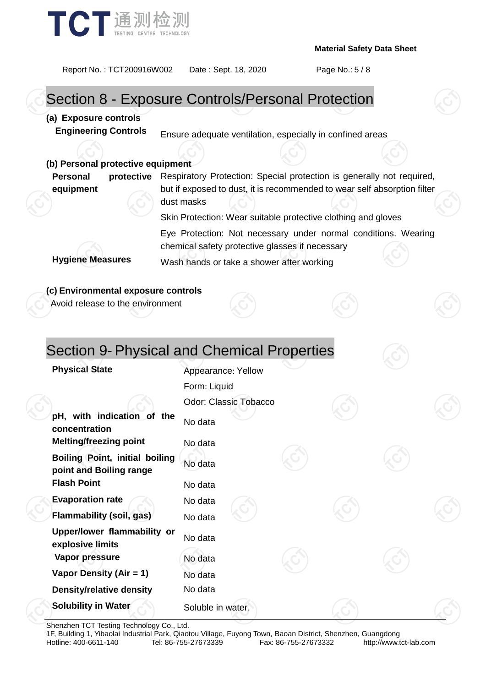

### Report No. : TCT200916W002 Date : Sept. 18, 2020 Page No.: 5 / 8 Section 8 - Exposure Controls/Personal Protection **(a) Exposure controls Engineering Controls** Ensure adequate ventilation, especially in confined areas **(b) Personal protective equipment Personal protective equipment** Respiratory Protection: Special protection is generally not required, but if exposed to dust, it is recommended to wear self absorption filter dust masks Skin Protection: Wear suitable protective clothing and gloves Eye Protection: Not necessary under normal conditions. Wearing chemical safety protective glasses if necessary **Hygiene Measures** Wash hands or take a shower after working **(c) Environmental exposure controls** Avoid release to the environment Section 9- Physical and Chemical Properties **Physical State Appearance: Yellow** Form: Liquid Odor: Classic Tobacco **pH, with indication of the concentration** No data **Melting/freezing point** No data **Boiling Point, initial boiling point and Boiling range** No data **Flash Point** No data

**Evaporation rate** No data **Flammability (soil, gas)** No data **Upper/lower flammability or explosive limits** No data **Vapor pressure** No data **Vapor Density (Air = 1)** No data **Density/relative density** No data **Solubility in Water** Soluble in water.

Shenzhen TCT Testing Technology Co., Ltd.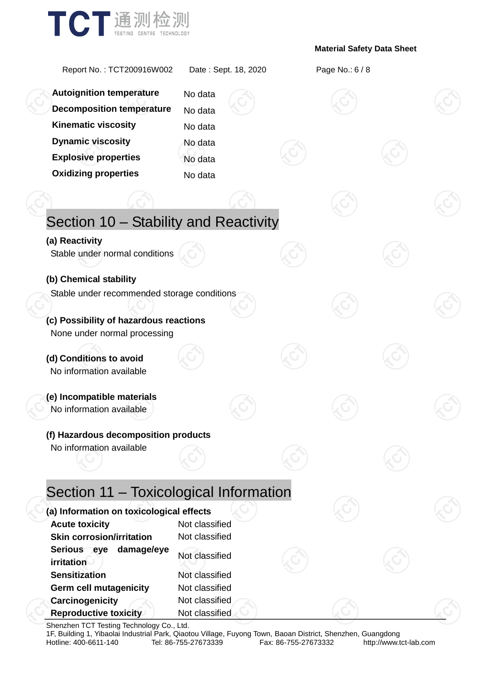

| Report No.: TCT200916W002                                                                             | Date: Sept. 18, 2020             |  | Page No.: 6 / 8 |  |
|-------------------------------------------------------------------------------------------------------|----------------------------------|--|-----------------|--|
| <b>Autoignition temperature</b>                                                                       | No data                          |  |                 |  |
| <b>Decomposition temperature</b>                                                                      | No data                          |  |                 |  |
| <b>Kinematic viscosity</b>                                                                            | No data                          |  |                 |  |
| <b>Dynamic viscosity</b>                                                                              | No data                          |  |                 |  |
| <b>Explosive properties</b>                                                                           | No data                          |  |                 |  |
| <b>Oxidizing properties</b>                                                                           | No data                          |  |                 |  |
|                                                                                                       |                                  |  |                 |  |
| Section 10 - Stability and Reactivity                                                                 |                                  |  |                 |  |
| (a) Reactivity<br>Stable under normal conditions                                                      |                                  |  |                 |  |
| (b) Chemical stability                                                                                |                                  |  |                 |  |
| Stable under recommended storage conditions<br>(c) Possibility of hazardous reactions                 |                                  |  |                 |  |
| None under normal processing                                                                          |                                  |  |                 |  |
| (d) Conditions to avoid<br>No information available                                                   |                                  |  |                 |  |
| (e) Incompatible materials<br>No information available                                                |                                  |  |                 |  |
| (f) Hazardous decomposition products                                                                  |                                  |  |                 |  |
| No information available                                                                              |                                  |  |                 |  |
| Section 11 - Toxicological Information                                                                |                                  |  |                 |  |
| (a) Information on toxicological effects<br><b>Acute toxicity</b><br><b>Skin corrosion/irritation</b> | Not classified<br>Not classified |  |                 |  |
| Serious eye<br>damage/eye<br>irritation<br><b>Sensitization</b>                                       | Not classified<br>Not classified |  |                 |  |
| <b>Germ cell mutagenicity</b>                                                                         | Not classified                   |  |                 |  |
| Carcinogenicity<br><b>Reproductive toxicity</b>                                                       | Not classified<br>Not classified |  |                 |  |

Shenzhen TCT Testing Technology Co., Ltd.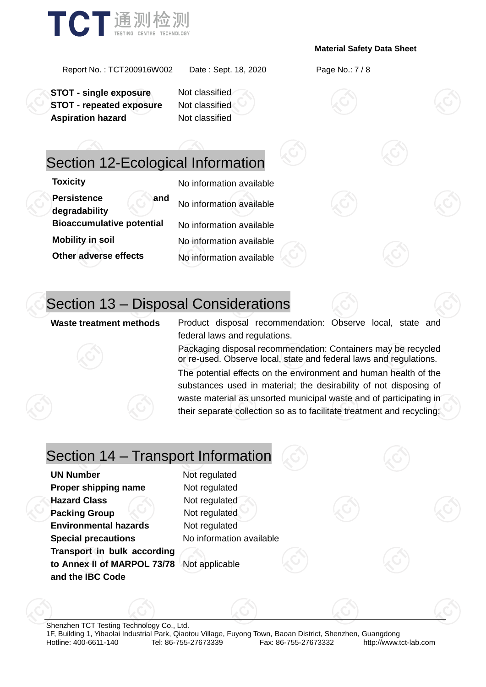

Report No. : TCT200916W002 Date : Sept. 18, 2020 Page No.: 7 / 8

**STOT - single exposure** Not classified **STOT - repeated exposure** Not classified **Aspiration hazard** Not classified

### Section 12-Ecological Information

**Persistence and degradability** No information available **Bioaccumulative potential** No information available **Mobility in soil** No information available **Other adverse effects** No information available

**Toxicity** No information available

# Section 13 – Disposal Considerations

**Waste treatment methods** Product disposal recommendation: Observe local, state and federal laws and regulations.

> Packaging disposal recommendation: Containers may be recycled or re-used. Observe local, state and federal laws and regulations.

> The potential effects on the environment and human health of the substances used in material; the desirability of not disposing of waste material as unsorted municipal waste and of participating in their separate collection so as to facilitate treatment and recycling;

### Section 14 – Transport Information

**UN Number** Not regulated **Proper shipping name** Not regulated **Hazard Class** Not regulated **Packing Group**  $\leq$  Not regulated **Environmental hazards** Not regulated **Special precautions** No information available **Transport in bulk according to Annex II of MARPOL 73/78**  Not applicable**and the IBC Code**

Shenzhen TCT Testing Technology Co., Ltd. 1F, Building 1, Yibaolai Industrial Park, Qiaotou Village, Fuyong Town, Baoan District, Shenzhen, Guangdong Hotline: 400-6611-140 Tel: 86-755-27673339 Fax: 86-755-27673332 http://www.tct-lab.com